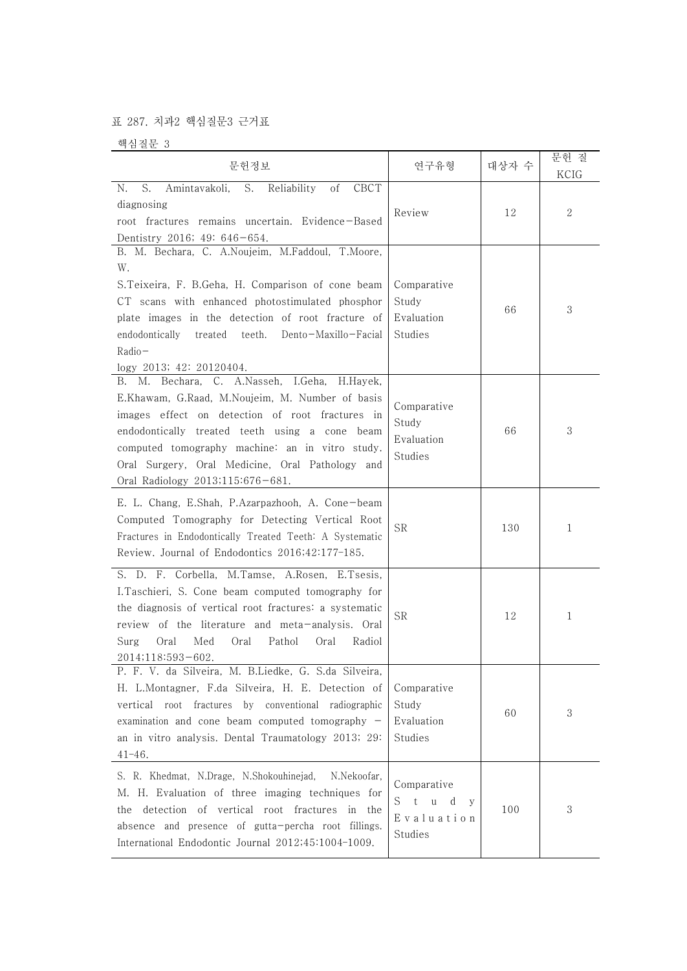## 표 287. 치과2 핵심질문3 근거표

핵심질문 3

| 문헌정보                                                                                                                                                                                                                                                                                                                                           | 연구유형                                                          | 대상자 수 | 문헌 질<br>KCIG |  |
|------------------------------------------------------------------------------------------------------------------------------------------------------------------------------------------------------------------------------------------------------------------------------------------------------------------------------------------------|---------------------------------------------------------------|-------|--------------|--|
| N.<br>S.<br>S.<br>CBCT<br>Amintavakoli,<br>Reliability<br>οf<br>diagnosing<br>root fractures remains uncertain. Evidence-Based<br>Dentistry 2016; 49: 646-654.                                                                                                                                                                                 | Review                                                        | 12    | 2            |  |
| B. M. Bechara, C. A.Noujeim, M.Faddoul, T.Moore,<br>W.<br>S. Teixeira, F. B. Geha, H. Comparison of cone beam<br>CT scans with enhanced photostimulated phosphor<br>plate images in the detection of root fracture of<br>endodontically<br>treated<br>teeth.<br>Dento-Maxillo-Facial<br>$Radio-$<br>logy 2013; 42: 20120404.                   | Comparative<br>Study<br>Evaluation<br>Studies                 | 66    | 3            |  |
| B. M. Bechara, C. A.Nasseh, I.Geha, H.Hayek,<br>E.Khawam, G.Raad, M.Noujeim, M. Number of basis<br>images effect on detection of root fractures in<br>endodontically treated teeth using a cone beam<br>computed tomography machine: an in vitro study.<br>Oral Surgery, Oral Medicine, Oral Pathology and<br>Oral Radiology 2013;115:676-681. | Comparative<br>Study<br>Evaluation<br>Studies                 | 66    | 3            |  |
| E. L. Chang, E.Shah, P.Azarpazhooh, A. Cone-beam<br>Computed Tomography for Detecting Vertical Root<br>Fractures in Endodontically Treated Teeth: A Systematic<br>Review. Journal of Endodontics 2016;42:177-185.                                                                                                                              | <b>SR</b>                                                     | 130   | 1            |  |
| S. D. F. Corbella, M.Tamse, A.Rosen, E.Tsesis,<br>I.Taschieri, S. Cone beam computed tomography for<br>the diagnosis of vertical root fractures: a systematic<br>review of the literature and meta-analysis. Oral<br>Oral<br>Med<br>Oral<br>Pathol<br>Surg<br>Oral<br>Radiol<br>2014;118:593-602.                                              | <b>SR</b>                                                     | 12    | 1            |  |
| P. F. V. da Silveira, M. B.Liedke, G. S.da Silveira,<br>H. L.Montagner, F.da Silveira, H. E. Detection of<br>vertical root fractures by conventional radiographic<br>examination and cone beam computed tomography $-$<br>an in vitro analysis. Dental Traumatology 2013; 29:<br>$41 - 46.$                                                    | Comparative<br>Study<br>Evaluation<br>Studies                 | 60    | 3            |  |
| S. R. Khedmat, N.Drage, N.Shokouhinejad,<br>N.Nekoofar,<br>M. H. Evaluation of three imaging techniques for<br>detection of vertical root fractures in the<br>the<br>absence and presence of gutta-percha root fillings.<br>International Endodontic Journal 2012;45:1004-1009.                                                                | Comparative<br>S<br>$-t$<br>u d<br>V<br>Evaluation<br>Studies | 100   | 3            |  |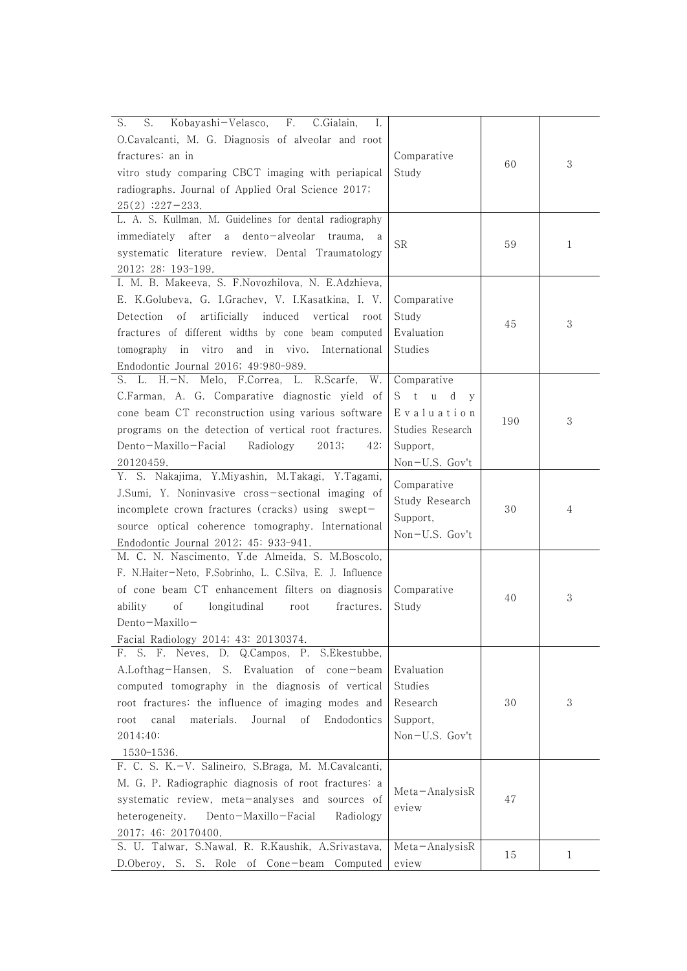| S.<br>S.<br>Kobayashi-Velasco,<br>F.<br>C.Gialain,<br>I.<br>O.Cavalcanti, M. G. Diagnosis of alveolar and root<br>fractures: an in<br>vitro study comparing CBCT imaging with periapical<br>radiographs. Journal of Applied Oral Science 2017;<br>$25(2)$ :227-233.                                                                                       | Comparative<br>Study                                                                                  | 60  | 3 |
|-----------------------------------------------------------------------------------------------------------------------------------------------------------------------------------------------------------------------------------------------------------------------------------------------------------------------------------------------------------|-------------------------------------------------------------------------------------------------------|-----|---|
| L. A. S. Kullman, M. Guidelines for dental radiography<br>immediately<br>after a<br>dento-alveolar<br>trauma,<br>systematic literature review. Dental Traumatology<br>2012; 28: 193-199.                                                                                                                                                                  | <b>SR</b>                                                                                             | 59  | 1 |
| I. M. B. Makeeva, S. F.Novozhilova, N. E.Adzhieva,<br>E. K.Golubeva, G. I.Grachev, V. I.Kasatkina, I. V.<br>Detection of<br>artificially<br>induced<br>vertical root<br>fractures of different widths by cone beam computed<br>vitro<br>and in vivo. International<br>tomography in<br>Endodontic Journal 2016; 49:980-989.                               | Comparative<br>Study<br>Evaluation<br>Studies                                                         | 45  | 3 |
| S. L. H.-N. Melo, F.Correa, L. R.Scarfe, W.<br>C.Farman, A. G. Comparative diagnostic yield of<br>cone beam CT reconstruction using various software<br>programs on the detection of vertical root fractures.<br>Dento-Maxillo-Facial<br>Radiology<br>2013;<br>42:<br>20120459.                                                                           | Comparative<br>St u d<br>$\mathbf{y}$<br>Evaluation<br>Studies Research<br>Support,<br>Non-U.S. Gov't | 190 | 3 |
| Y. S. Nakajima, Y.Miyashin, M.Takagi, Y.Tagami,<br>J.Sumi, Y. Noninvasive cross-sectional imaging of<br>incomplete crown fractures (cracks) using swept-<br>source optical coherence tomography. International<br>Endodontic Journal 2012; 45: 933-941.                                                                                                   | Comparative<br>Study Research<br>Support,<br>Non-U.S. Gov't                                           | 30  | 4 |
| M. C. N. Nascimento, Y.de Almeida, S. M.Boscolo,<br>F. N.Haiter-Neto, F.Sobrinho, L. C.Silva, E. J. Influence<br>of cone beam CT enhancement filters on diagnosis<br>longitudinal<br>οf<br>fractures.<br>ability<br>root<br>$Dento-Maxillo-$<br>Facial Radiology 2014; 43: 20130374.                                                                      | Comparative<br>Study                                                                                  | 40  | 3 |
| S. F. Neves, D. Q.Campos, P. S.Ekestubbe,<br>F.<br>A.Lofthag-Hansen, S. Evaluation of cone-beam<br>computed tomography in the diagnosis of vertical<br>root fractures: the influence of imaging modes and<br>canal<br>materials.<br>Journal<br>οf<br>Endodontics<br>root<br>2014;40:<br>1530-1536.<br>F. C. S. K.-V. Salineiro, S.Braga, M. M.Cavalcanti, | Evaluation<br>Studies<br>Research<br>Support,<br>$Non-U.S.$ Gov't                                     | 30  | 3 |
| M. G. P. Radiographic diagnosis of root fractures: a<br>systematic review, meta-analyses and sources of<br>heterogeneity.<br>Dento-Maxillo-Facial<br>Radiology<br>2017; 46: 20170400.                                                                                                                                                                     | Meta-AnalysisR<br>eview                                                                               | 47  |   |
| S. U. Talwar, S.Nawal, R. R.Kaushik, A.Srivastava,<br>D.Oberoy, S. S. Role of Cone-beam Computed                                                                                                                                                                                                                                                          | Meta-AnalysisR<br>eview                                                                               | 15  | 1 |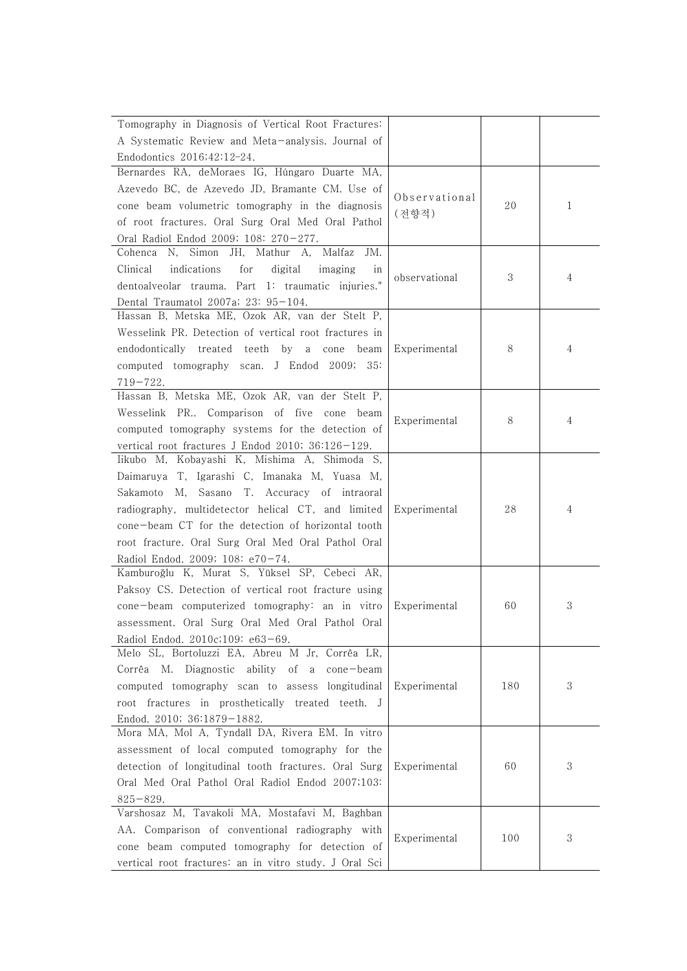| Tomography in Diagnosis of Vertical Root Fractures:            |               |     |   |
|----------------------------------------------------------------|---------------|-----|---|
| A Systematic Review and Meta-analysis. Journal of              |               |     |   |
| Endodontics 2016;42:12-24.                                     |               |     |   |
| Bernardes RA, deMoraes IG, Húngaro Duarte MA,                  |               |     |   |
| Azevedo BC, de Azevedo JD, Bramante CM. Use of                 |               |     |   |
| cone beam volumetric tomography in the diagnosis               | Observational | 20  | 1 |
| of root fractures. Oral Surg Oral Med Oral Pathol              | (전향적)         |     |   |
| Oral Radiol Endod 2009; 108: 270-277.                          |               |     |   |
| N, Simon<br>JH, Mathur A,<br>Cohenca<br>Malfaz<br>JM.          |               |     |   |
| Clinical<br>indications<br>digital<br>for<br>imaging<br>1n     |               |     |   |
| dentoalveolar trauma. Part 1: traumatic injuries."             | observational | 3   | 4 |
| Dental Traumatol 2007a; 23: 95-104.                            |               |     |   |
| Hassan B, Metska ME, Ozok AR, van der Stelt P,                 |               |     |   |
| Wesselink PR. Detection of vertical root fractures in          |               |     |   |
| endodontically treated teeth by a cone                         |               | 8   | 4 |
| beam                                                           | Experimental  |     |   |
| computed tomography scan. J Endod 2009; 35:                    |               |     |   |
| $719 - 722.$<br>Hassan B, Metska ME, Ozok AR, van der Stelt P, |               |     |   |
|                                                                |               |     |   |
| Wesselink PR Comparison of five cone beam                      | Experimental  | 8   | 4 |
| computed tomography systems for the detection of               |               |     |   |
| vertical root fractures J Endod 2010; 36:126-129.              |               |     |   |
| Iikubo M, Kobayashi K, Mishima A, Shimoda S,                   |               |     |   |
| Daimaruya T, Igarashi C, Imanaka M, Yuasa M,                   |               |     |   |
| Sakamoto M, Sasano T. Accuracy of intraoral                    |               |     |   |
| radiography, multidetector helical CT, and limited             | Experimental  | 28  | 4 |
| cone-beam CT for the detection of horizontal tooth             |               |     |   |
| root fracture. Oral Surg Oral Med Oral Pathol Oral             |               |     |   |
| Radiol Endod. 2009; 108: e70-74.                               |               |     |   |
| Kamburoğlu K, Murat S, Yüksel SP, Cebeci AR,                   |               |     |   |
| Paksoy CS. Detection of vertical root fracture using           |               |     |   |
| cone-beam computerized tomography: an in vitro                 | Experimental  | 60  | 3 |
| assessment. Oral Surg Oral Med Oral Pathol Oral                |               |     |   |
| Radiol Endod. 2010c;109: e63-69.                               |               |     |   |
| Melo SL, Bortoluzzi EA, Abreu M Jr, Corrêa LR,                 |               |     |   |
| Corrêa M. Diagnostic ability<br>of a<br>$cone$ -beam           |               |     |   |
| computed tomography scan to assess longitudinal                | Experimental  | 180 | 3 |
| root fractures in prosthetically treated teeth. J              |               |     |   |
| Endod. 2010; 36:1879-1882.                                     |               |     |   |
| Mora MA, Mol A, Tyndall DA, Rivera EM. In vitro                |               |     |   |
| assessment of local computed tomography for the                |               |     |   |
| detection of longitudinal tooth fractures. Oral Surg           | Experimental  | 60  | 3 |
| Oral Med Oral Pathol Oral Radiol Endod 2007;103:               |               |     |   |
| $825 - 829.$                                                   |               |     |   |
| Varshosaz M, Tavakoli MA, Mostafavi M, Baghban                 |               |     |   |
| AA. Comparison of conventional radiography with                |               | 100 | 3 |
| cone beam computed tomography for detection of                 | Experimental  |     |   |
| vertical root fractures: an in vitro study. J Oral Sci         |               |     |   |